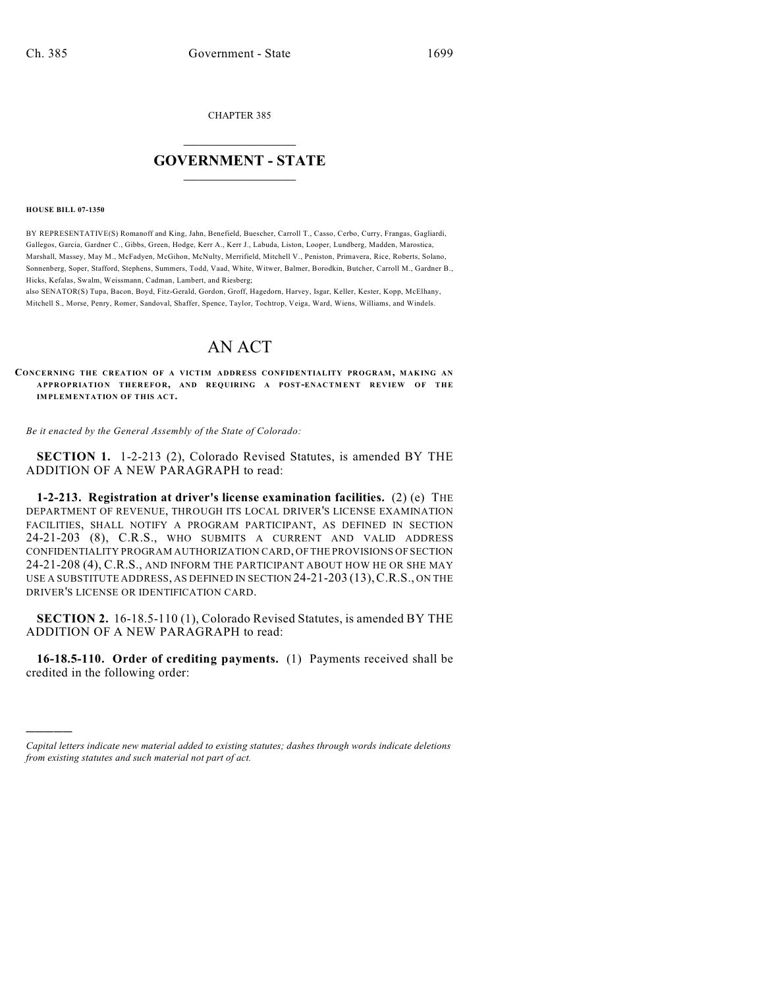CHAPTER 385

## $\overline{\phantom{a}}$  . The set of the set of the set of the set of the set of the set of the set of the set of the set of the set of the set of the set of the set of the set of the set of the set of the set of the set of the set o **GOVERNMENT - STATE**  $\_$

**HOUSE BILL 07-1350**

)))))

BY REPRESENTATIVE(S) Romanoff and King, Jahn, Benefield, Buescher, Carroll T., Casso, Cerbo, Curry, Frangas, Gagliardi, Gallegos, Garcia, Gardner C., Gibbs, Green, Hodge, Kerr A., Kerr J., Labuda, Liston, Looper, Lundberg, Madden, Marostica, Marshall, Massey, May M., McFadyen, McGihon, McNulty, Merrifield, Mitchell V., Peniston, Primavera, Rice, Roberts, Solano, Sonnenberg, Soper, Stafford, Stephens, Summers, Todd, Vaad, White, Witwer, Balmer, Borodkin, Butcher, Carroll M., Gardner B., Hicks, Kefalas, Swalm, Weissmann, Cadman, Lambert, and Riesberg;

also SENATOR(S) Tupa, Bacon, Boyd, Fitz-Gerald, Gordon, Groff, Hagedorn, Harvey, Isgar, Keller, Kester, Kopp, McElhany, Mitchell S., Morse, Penry, Romer, Sandoval, Shaffer, Spence, Taylor, Tochtrop, Veiga, Ward, Wiens, Williams, and Windels.

## AN ACT

**CONCERNING THE CREATION OF A VICTIM ADDRESS CONFIDENTIALITY PROGRAM, MAKING AN A PPR OPR IA TIO N TH ER EFO R, AND REQUIRING A POST-ENAC TM EN T REV IEW OF TH E IMPLEMENTATION OF THIS ACT.**

*Be it enacted by the General Assembly of the State of Colorado:*

**SECTION 1.** 1-2-213 (2), Colorado Revised Statutes, is amended BY THE ADDITION OF A NEW PARAGRAPH to read:

**1-2-213. Registration at driver's license examination facilities.** (2) (e) THE DEPARTMENT OF REVENUE, THROUGH ITS LOCAL DRIVER'S LICENSE EXAMINATION FACILITIES, SHALL NOTIFY A PROGRAM PARTICIPANT, AS DEFINED IN SECTION 24-21-203 (8), C.R.S., WHO SUBMITS A CURRENT AND VALID ADDRESS CONFIDENTIALITY PROGRAM AUTHORIZATION CARD, OF THE PROVISIONS OF SECTION 24-21-208 (4), C.R.S., AND INFORM THE PARTICIPANT ABOUT HOW HE OR SHE MAY USE A SUBSTITUTE ADDRESS, AS DEFINED IN SECTION 24-21-203 (13),C.R.S., ON THE DRIVER'S LICENSE OR IDENTIFICATION CARD.

**SECTION 2.** 16-18.5-110 (1), Colorado Revised Statutes, is amended BY THE ADDITION OF A NEW PARAGRAPH to read:

**16-18.5-110. Order of crediting payments.** (1) Payments received shall be credited in the following order:

*Capital letters indicate new material added to existing statutes; dashes through words indicate deletions from existing statutes and such material not part of act.*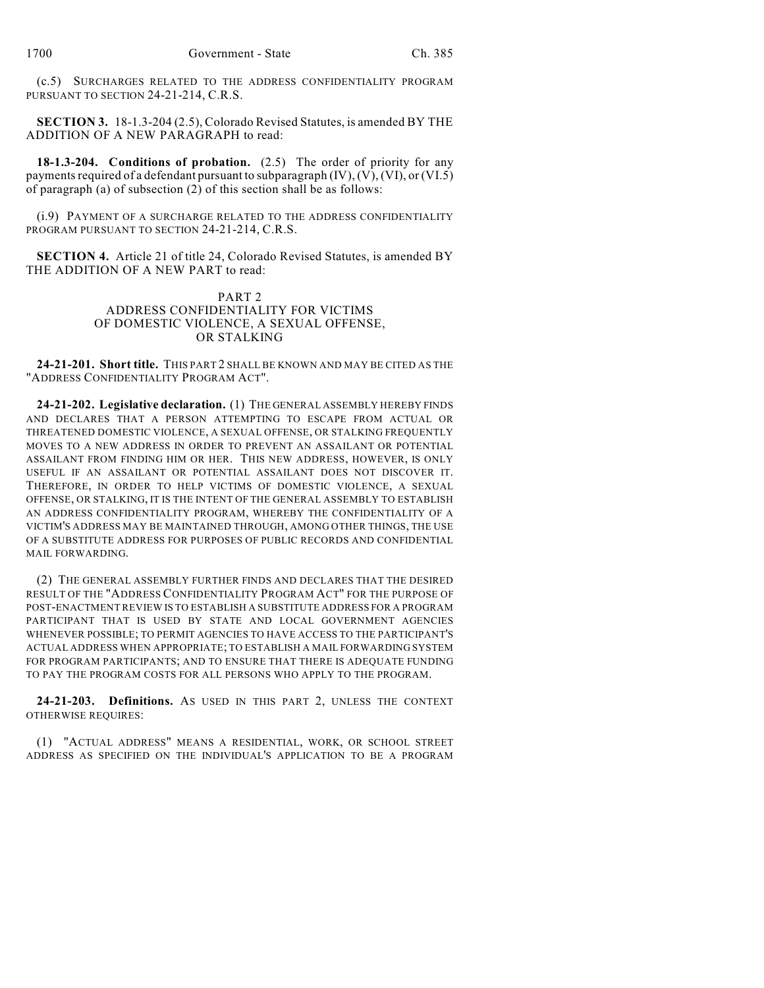(c.5) SURCHARGES RELATED TO THE ADDRESS CONFIDENTIALITY PROGRAM PURSUANT TO SECTION 24-21-214, C.R.S.

**SECTION 3.** 18-1.3-204 (2.5), Colorado Revised Statutes, is amended BY THE ADDITION OF A NEW PARAGRAPH to read:

**18-1.3-204. Conditions of probation.** (2.5) The order of priority for any payments required of a defendant pursuant to subparagraph (IV), (V), (VI), or (VI.5) of paragraph (a) of subsection (2) of this section shall be as follows:

(i.9) PAYMENT OF A SURCHARGE RELATED TO THE ADDRESS CONFIDENTIALITY PROGRAM PURSUANT TO SECTION 24-21-214, C.R.S.

**SECTION 4.** Article 21 of title 24, Colorado Revised Statutes, is amended BY THE ADDITION OF A NEW PART to read:

## PART 2 ADDRESS CONFIDENTIALITY FOR VICTIMS OF DOMESTIC VIOLENCE, A SEXUAL OFFENSE, OR STALKING

**24-21-201. Short title.** THIS PART 2 SHALL BE KNOWN AND MAY BE CITED AS THE "ADDRESS CONFIDENTIALITY PROGRAM ACT".

**24-21-202. Legislative declaration.** (1) THE GENERAL ASSEMBLY HEREBY FINDS AND DECLARES THAT A PERSON ATTEMPTING TO ESCAPE FROM ACTUAL OR THREATENED DOMESTIC VIOLENCE, A SEXUAL OFFENSE, OR STALKING FREQUENTLY MOVES TO A NEW ADDRESS IN ORDER TO PREVENT AN ASSAILANT OR POTENTIAL ASSAILANT FROM FINDING HIM OR HER. THIS NEW ADDRESS, HOWEVER, IS ONLY USEFUL IF AN ASSAILANT OR POTENTIAL ASSAILANT DOES NOT DISCOVER IT. THEREFORE, IN ORDER TO HELP VICTIMS OF DOMESTIC VIOLENCE, A SEXUAL OFFENSE, OR STALKING, IT IS THE INTENT OF THE GENERAL ASSEMBLY TO ESTABLISH AN ADDRESS CONFIDENTIALITY PROGRAM, WHEREBY THE CONFIDENTIALITY OF A VICTIM'S ADDRESS MAY BE MAINTAINED THROUGH, AMONG OTHER THINGS, THE USE OF A SUBSTITUTE ADDRESS FOR PURPOSES OF PUBLIC RECORDS AND CONFIDENTIAL MAIL FORWARDING.

(2) THE GENERAL ASSEMBLY FURTHER FINDS AND DECLARES THAT THE DESIRED RESULT OF THE "ADDRESS CONFIDENTIALITY PROGRAM ACT" FOR THE PURPOSE OF POST-ENACTMENT REVIEW IS TO ESTABLISH A SUBSTITUTE ADDRESS FOR A PROGRAM PARTICIPANT THAT IS USED BY STATE AND LOCAL GOVERNMENT AGENCIES WHENEVER POSSIBLE; TO PERMIT AGENCIES TO HAVE ACCESS TO THE PARTICIPANT'S ACTUAL ADDRESS WHEN APPROPRIATE; TO ESTABLISH A MAIL FORWARDING SYSTEM FOR PROGRAM PARTICIPANTS; AND TO ENSURE THAT THERE IS ADEQUATE FUNDING TO PAY THE PROGRAM COSTS FOR ALL PERSONS WHO APPLY TO THE PROGRAM.

**24-21-203. Definitions.** AS USED IN THIS PART 2, UNLESS THE CONTEXT OTHERWISE REQUIRES:

(1) "ACTUAL ADDRESS" MEANS A RESIDENTIAL, WORK, OR SCHOOL STREET ADDRESS AS SPECIFIED ON THE INDIVIDUAL'S APPLICATION TO BE A PROGRAM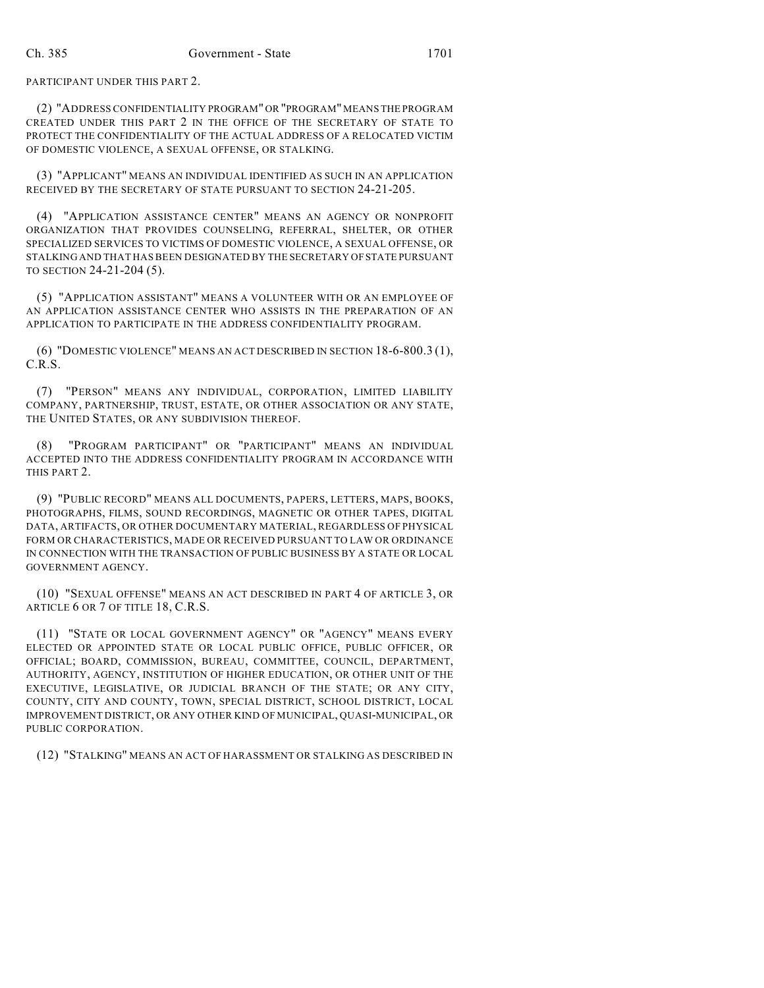PARTICIPANT UNDER THIS PART 2.

(2) "ADDRESS CONFIDENTIALITY PROGRAM" OR "PROGRAM" MEANS THE PROGRAM CREATED UNDER THIS PART 2 IN THE OFFICE OF THE SECRETARY OF STATE TO PROTECT THE CONFIDENTIALITY OF THE ACTUAL ADDRESS OF A RELOCATED VICTIM OF DOMESTIC VIOLENCE, A SEXUAL OFFENSE, OR STALKING.

(3) "APPLICANT" MEANS AN INDIVIDUAL IDENTIFIED AS SUCH IN AN APPLICATION RECEIVED BY THE SECRETARY OF STATE PURSUANT TO SECTION 24-21-205.

(4) "APPLICATION ASSISTANCE CENTER" MEANS AN AGENCY OR NONPROFIT ORGANIZATION THAT PROVIDES COUNSELING, REFERRAL, SHELTER, OR OTHER SPECIALIZED SERVICES TO VICTIMS OF DOMESTIC VIOLENCE, A SEXUAL OFFENSE, OR STALKING AND THAT HAS BEEN DESIGNATED BY THE SECRETARY OF STATE PURSUANT TO SECTION 24-21-204 (5).

(5) "APPLICATION ASSISTANT" MEANS A VOLUNTEER WITH OR AN EMPLOYEE OF AN APPLICATION ASSISTANCE CENTER WHO ASSISTS IN THE PREPARATION OF AN APPLICATION TO PARTICIPATE IN THE ADDRESS CONFIDENTIALITY PROGRAM.

(6) "DOMESTIC VIOLENCE" MEANS AN ACT DESCRIBED IN SECTION 18-6-800.3 (1), C.R.S.

(7) "PERSON" MEANS ANY INDIVIDUAL, CORPORATION, LIMITED LIABILITY COMPANY, PARTNERSHIP, TRUST, ESTATE, OR OTHER ASSOCIATION OR ANY STATE, THE UNITED STATES, OR ANY SUBDIVISION THEREOF.

(8) "PROGRAM PARTICIPANT" OR "PARTICIPANT" MEANS AN INDIVIDUAL ACCEPTED INTO THE ADDRESS CONFIDENTIALITY PROGRAM IN ACCORDANCE WITH THIS PART 2.

(9) "PUBLIC RECORD" MEANS ALL DOCUMENTS, PAPERS, LETTERS, MAPS, BOOKS, PHOTOGRAPHS, FILMS, SOUND RECORDINGS, MAGNETIC OR OTHER TAPES, DIGITAL DATA, ARTIFACTS, OR OTHER DOCUMENTARY MATERIAL, REGARDLESS OF PHYSICAL FORM OR CHARACTERISTICS, MADE OR RECEIVED PURSUANT TO LAW OR ORDINANCE IN CONNECTION WITH THE TRANSACTION OF PUBLIC BUSINESS BY A STATE OR LOCAL GOVERNMENT AGENCY.

(10) "SEXUAL OFFENSE" MEANS AN ACT DESCRIBED IN PART 4 OF ARTICLE 3, OR ARTICLE 6 OR 7 OF TITLE 18, C.R.S.

(11) "STATE OR LOCAL GOVERNMENT AGENCY" OR "AGENCY" MEANS EVERY ELECTED OR APPOINTED STATE OR LOCAL PUBLIC OFFICE, PUBLIC OFFICER, OR OFFICIAL; BOARD, COMMISSION, BUREAU, COMMITTEE, COUNCIL, DEPARTMENT, AUTHORITY, AGENCY, INSTITUTION OF HIGHER EDUCATION, OR OTHER UNIT OF THE EXECUTIVE, LEGISLATIVE, OR JUDICIAL BRANCH OF THE STATE; OR ANY CITY, COUNTY, CITY AND COUNTY, TOWN, SPECIAL DISTRICT, SCHOOL DISTRICT, LOCAL IMPROVEMENT DISTRICT, OR ANY OTHER KIND OF MUNICIPAL, QUASI-MUNICIPAL, OR PUBLIC CORPORATION.

(12) "STALKING" MEANS AN ACT OF HARASSMENT OR STALKING AS DESCRIBED IN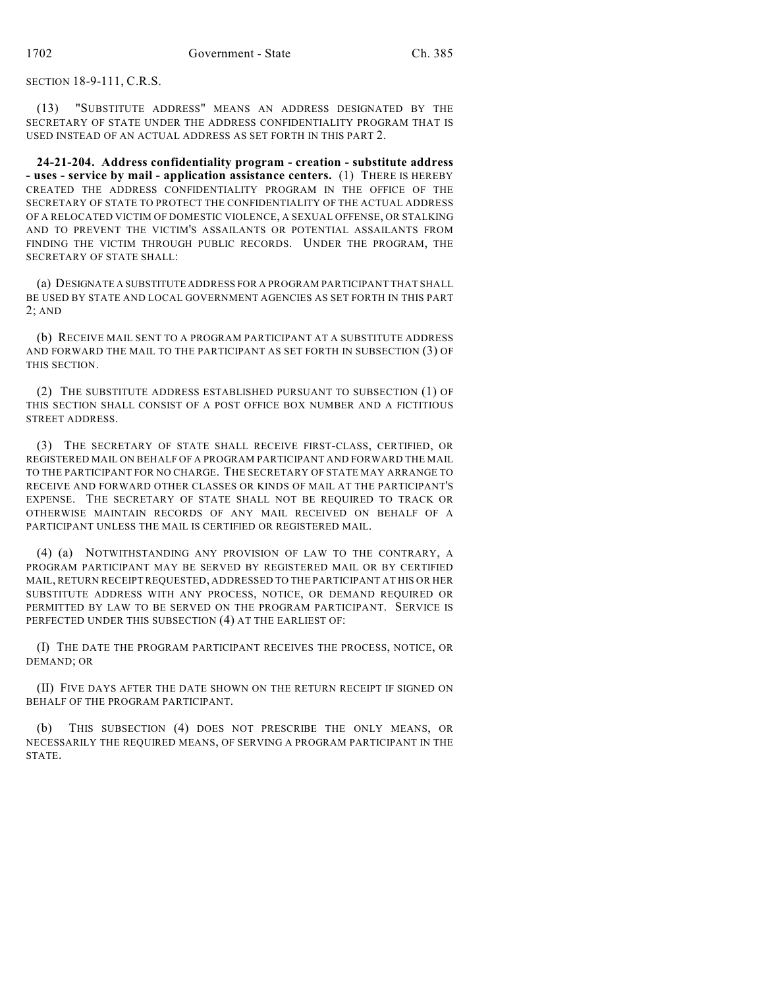SECTION 18-9-111, C.R.S.

(13) "SUBSTITUTE ADDRESS" MEANS AN ADDRESS DESIGNATED BY THE SECRETARY OF STATE UNDER THE ADDRESS CONFIDENTIALITY PROGRAM THAT IS USED INSTEAD OF AN ACTUAL ADDRESS AS SET FORTH IN THIS PART 2.

**24-21-204. Address confidentiality program - creation - substitute address - uses - service by mail - application assistance centers.** (1) THERE IS HEREBY CREATED THE ADDRESS CONFIDENTIALITY PROGRAM IN THE OFFICE OF THE SECRETARY OF STATE TO PROTECT THE CONFIDENTIALITY OF THE ACTUAL ADDRESS OF A RELOCATED VICTIM OF DOMESTIC VIOLENCE, A SEXUAL OFFENSE, OR STALKING AND TO PREVENT THE VICTIM'S ASSAILANTS OR POTENTIAL ASSAILANTS FROM FINDING THE VICTIM THROUGH PUBLIC RECORDS. UNDER THE PROGRAM, THE SECRETARY OF STATE SHALL:

(a) DESIGNATE A SUBSTITUTE ADDRESS FOR A PROGRAM PARTICIPANT THAT SHALL BE USED BY STATE AND LOCAL GOVERNMENT AGENCIES AS SET FORTH IN THIS PART 2; AND

(b) RECEIVE MAIL SENT TO A PROGRAM PARTICIPANT AT A SUBSTITUTE ADDRESS AND FORWARD THE MAIL TO THE PARTICIPANT AS SET FORTH IN SUBSECTION (3) OF THIS SECTION.

(2) THE SUBSTITUTE ADDRESS ESTABLISHED PURSUANT TO SUBSECTION (1) OF THIS SECTION SHALL CONSIST OF A POST OFFICE BOX NUMBER AND A FICTITIOUS STREET ADDRESS.

(3) THE SECRETARY OF STATE SHALL RECEIVE FIRST-CLASS, CERTIFIED, OR REGISTERED MAIL ON BEHALF OF A PROGRAM PARTICIPANT AND FORWARD THE MAIL TO THE PARTICIPANT FOR NO CHARGE. THE SECRETARY OF STATE MAY ARRANGE TO RECEIVE AND FORWARD OTHER CLASSES OR KINDS OF MAIL AT THE PARTICIPANT'S EXPENSE. THE SECRETARY OF STATE SHALL NOT BE REQUIRED TO TRACK OR OTHERWISE MAINTAIN RECORDS OF ANY MAIL RECEIVED ON BEHALF OF A PARTICIPANT UNLESS THE MAIL IS CERTIFIED OR REGISTERED MAIL.

(4) (a) NOTWITHSTANDING ANY PROVISION OF LAW TO THE CONTRARY, A PROGRAM PARTICIPANT MAY BE SERVED BY REGISTERED MAIL OR BY CERTIFIED MAIL, RETURN RECEIPT REQUESTED, ADDRESSED TO THE PARTICIPANT AT HIS OR HER SUBSTITUTE ADDRESS WITH ANY PROCESS, NOTICE, OR DEMAND REQUIRED OR PERMITTED BY LAW TO BE SERVED ON THE PROGRAM PARTICIPANT. SERVICE IS PERFECTED UNDER THIS SUBSECTION (4) AT THE EARLIEST OF:

(I) THE DATE THE PROGRAM PARTICIPANT RECEIVES THE PROCESS, NOTICE, OR DEMAND; OR

(II) FIVE DAYS AFTER THE DATE SHOWN ON THE RETURN RECEIPT IF SIGNED ON BEHALF OF THE PROGRAM PARTICIPANT.

(b) THIS SUBSECTION (4) DOES NOT PRESCRIBE THE ONLY MEANS, OR NECESSARILY THE REQUIRED MEANS, OF SERVING A PROGRAM PARTICIPANT IN THE STATE.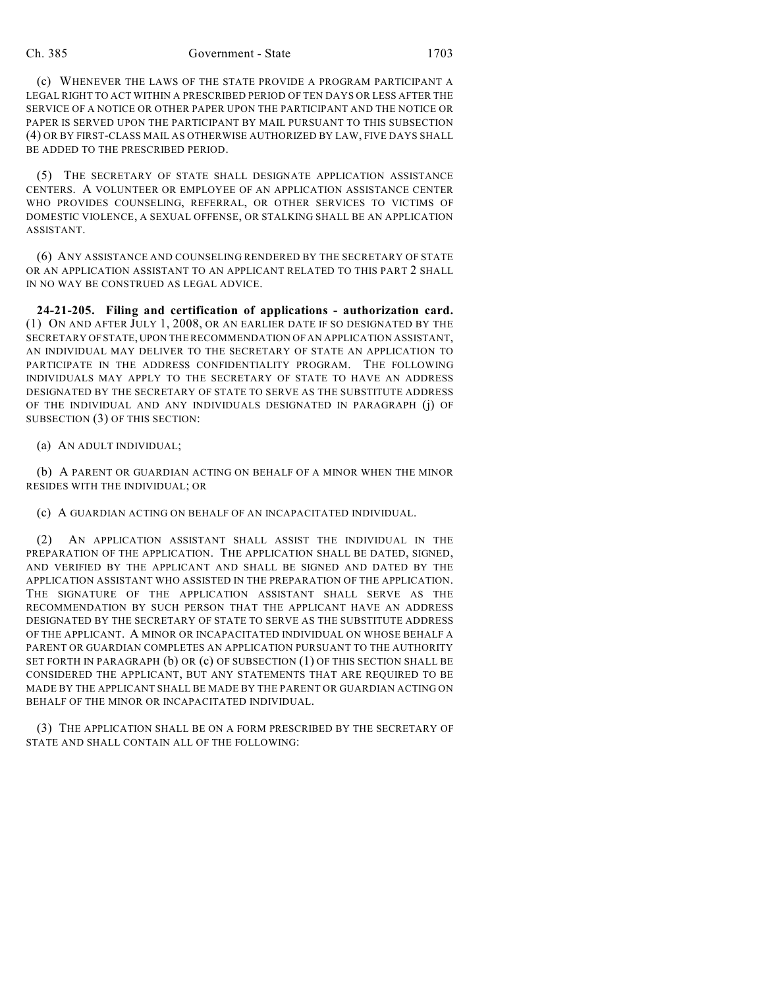(c) WHENEVER THE LAWS OF THE STATE PROVIDE A PROGRAM PARTICIPANT A LEGAL RIGHT TO ACT WITHIN A PRESCRIBED PERIOD OF TEN DAYS OR LESS AFTER THE SERVICE OF A NOTICE OR OTHER PAPER UPON THE PARTICIPANT AND THE NOTICE OR PAPER IS SERVED UPON THE PARTICIPANT BY MAIL PURSUANT TO THIS SUBSECTION (4) OR BY FIRST-CLASS MAIL AS OTHERWISE AUTHORIZED BY LAW, FIVE DAYS SHALL BE ADDED TO THE PRESCRIBED PERIOD.

(5) THE SECRETARY OF STATE SHALL DESIGNATE APPLICATION ASSISTANCE CENTERS. A VOLUNTEER OR EMPLOYEE OF AN APPLICATION ASSISTANCE CENTER WHO PROVIDES COUNSELING, REFERRAL, OR OTHER SERVICES TO VICTIMS OF DOMESTIC VIOLENCE, A SEXUAL OFFENSE, OR STALKING SHALL BE AN APPLICATION ASSISTANT.

(6) ANY ASSISTANCE AND COUNSELING RENDERED BY THE SECRETARY OF STATE OR AN APPLICATION ASSISTANT TO AN APPLICANT RELATED TO THIS PART 2 SHALL IN NO WAY BE CONSTRUED AS LEGAL ADVICE.

**24-21-205. Filing and certification of applications - authorization card.** (1) ON AND AFTER JULY 1, 2008, OR AN EARLIER DATE IF SO DESIGNATED BY THE SECRETARY OF STATE, UPON THE RECOMMENDATION OF AN APPLICATION ASSISTANT, AN INDIVIDUAL MAY DELIVER TO THE SECRETARY OF STATE AN APPLICATION TO PARTICIPATE IN THE ADDRESS CONFIDENTIALITY PROGRAM. THE FOLLOWING INDIVIDUALS MAY APPLY TO THE SECRETARY OF STATE TO HAVE AN ADDRESS DESIGNATED BY THE SECRETARY OF STATE TO SERVE AS THE SUBSTITUTE ADDRESS OF THE INDIVIDUAL AND ANY INDIVIDUALS DESIGNATED IN PARAGRAPH (j) OF SUBSECTION (3) OF THIS SECTION:

(a) AN ADULT INDIVIDUAL;

(b) A PARENT OR GUARDIAN ACTING ON BEHALF OF A MINOR WHEN THE MINOR RESIDES WITH THE INDIVIDUAL; OR

(c) A GUARDIAN ACTING ON BEHALF OF AN INCAPACITATED INDIVIDUAL.

(2) AN APPLICATION ASSISTANT SHALL ASSIST THE INDIVIDUAL IN THE PREPARATION OF THE APPLICATION. THE APPLICATION SHALL BE DATED, SIGNED, AND VERIFIED BY THE APPLICANT AND SHALL BE SIGNED AND DATED BY THE APPLICATION ASSISTANT WHO ASSISTED IN THE PREPARATION OF THE APPLICATION. THE SIGNATURE OF THE APPLICATION ASSISTANT SHALL SERVE AS THE RECOMMENDATION BY SUCH PERSON THAT THE APPLICANT HAVE AN ADDRESS DESIGNATED BY THE SECRETARY OF STATE TO SERVE AS THE SUBSTITUTE ADDRESS OF THE APPLICANT. A MINOR OR INCAPACITATED INDIVIDUAL ON WHOSE BEHALF A PARENT OR GUARDIAN COMPLETES AN APPLICATION PURSUANT TO THE AUTHORITY SET FORTH IN PARAGRAPH (b) OR (c) OF SUBSECTION (1) OF THIS SECTION SHALL BE CONSIDERED THE APPLICANT, BUT ANY STATEMENTS THAT ARE REQUIRED TO BE MADE BY THE APPLICANT SHALL BE MADE BY THE PARENT OR GUARDIAN ACTING ON BEHALF OF THE MINOR OR INCAPACITATED INDIVIDUAL.

(3) THE APPLICATION SHALL BE ON A FORM PRESCRIBED BY THE SECRETARY OF STATE AND SHALL CONTAIN ALL OF THE FOLLOWING: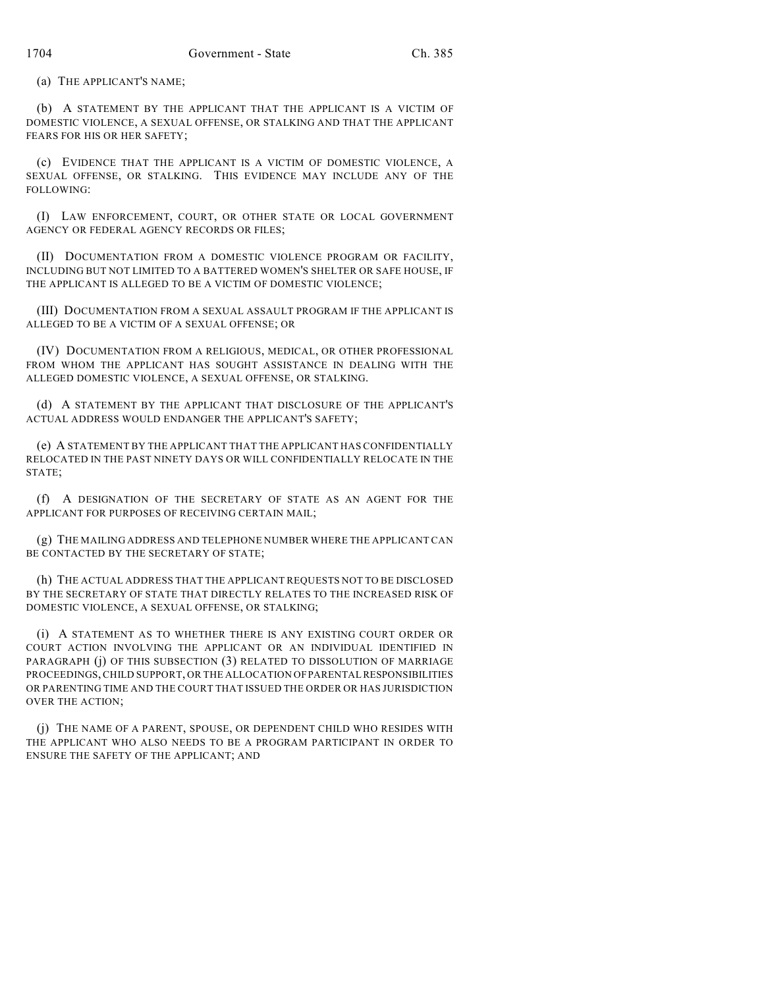(a) THE APPLICANT'S NAME;

(b) A STATEMENT BY THE APPLICANT THAT THE APPLICANT IS A VICTIM OF DOMESTIC VIOLENCE, A SEXUAL OFFENSE, OR STALKING AND THAT THE APPLICANT FEARS FOR HIS OR HER SAFETY;

(c) EVIDENCE THAT THE APPLICANT IS A VICTIM OF DOMESTIC VIOLENCE, A SEXUAL OFFENSE, OR STALKING. THIS EVIDENCE MAY INCLUDE ANY OF THE FOLLOWING:

(I) LAW ENFORCEMENT, COURT, OR OTHER STATE OR LOCAL GOVERNMENT AGENCY OR FEDERAL AGENCY RECORDS OR FILES;

(II) DOCUMENTATION FROM A DOMESTIC VIOLENCE PROGRAM OR FACILITY, INCLUDING BUT NOT LIMITED TO A BATTERED WOMEN'S SHELTER OR SAFE HOUSE, IF THE APPLICANT IS ALLEGED TO BE A VICTIM OF DOMESTIC VIOLENCE;

(III) DOCUMENTATION FROM A SEXUAL ASSAULT PROGRAM IF THE APPLICANT IS ALLEGED TO BE A VICTIM OF A SEXUAL OFFENSE; OR

(IV) DOCUMENTATION FROM A RELIGIOUS, MEDICAL, OR OTHER PROFESSIONAL FROM WHOM THE APPLICANT HAS SOUGHT ASSISTANCE IN DEALING WITH THE ALLEGED DOMESTIC VIOLENCE, A SEXUAL OFFENSE, OR STALKING.

(d) A STATEMENT BY THE APPLICANT THAT DISCLOSURE OF THE APPLICANT'S ACTUAL ADDRESS WOULD ENDANGER THE APPLICANT'S SAFETY;

(e) A STATEMENT BY THE APPLICANT THAT THE APPLICANT HAS CONFIDENTIALLY RELOCATED IN THE PAST NINETY DAYS OR WILL CONFIDENTIALLY RELOCATE IN THE STATE;

(f) A DESIGNATION OF THE SECRETARY OF STATE AS AN AGENT FOR THE APPLICANT FOR PURPOSES OF RECEIVING CERTAIN MAIL;

(g) THE MAILING ADDRESS AND TELEPHONE NUMBER WHERE THE APPLICANT CAN BE CONTACTED BY THE SECRETARY OF STATE;

(h) THE ACTUAL ADDRESS THAT THE APPLICANT REQUESTS NOT TO BE DISCLOSED BY THE SECRETARY OF STATE THAT DIRECTLY RELATES TO THE INCREASED RISK OF DOMESTIC VIOLENCE, A SEXUAL OFFENSE, OR STALKING;

(i) A STATEMENT AS TO WHETHER THERE IS ANY EXISTING COURT ORDER OR COURT ACTION INVOLVING THE APPLICANT OR AN INDIVIDUAL IDENTIFIED IN PARAGRAPH (j) OF THIS SUBSECTION (3) RELATED TO DISSOLUTION OF MARRIAGE PROCEEDINGS, CHILD SUPPORT, OR THE ALLOCATION OF PARENTAL RESPONSIBILITIES OR PARENTING TIME AND THE COURT THAT ISSUED THE ORDER OR HAS JURISDICTION OVER THE ACTION;

(j) THE NAME OF A PARENT, SPOUSE, OR DEPENDENT CHILD WHO RESIDES WITH THE APPLICANT WHO ALSO NEEDS TO BE A PROGRAM PARTICIPANT IN ORDER TO ENSURE THE SAFETY OF THE APPLICANT; AND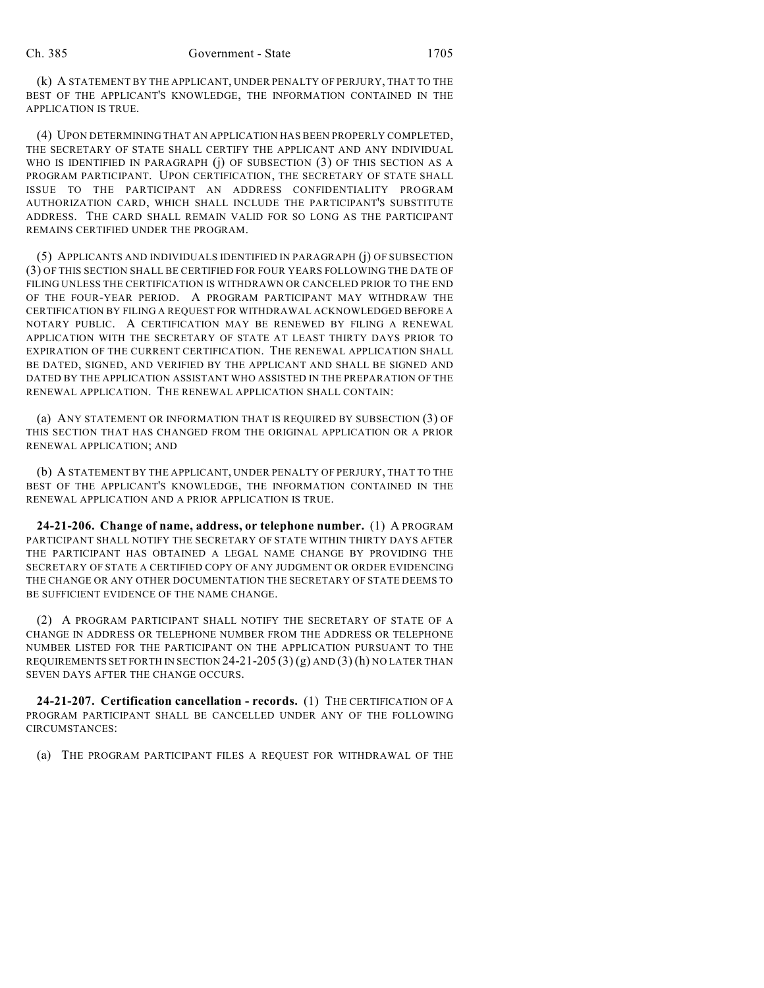(k) A STATEMENT BY THE APPLICANT, UNDER PENALTY OF PERJURY, THAT TO THE BEST OF THE APPLICANT'S KNOWLEDGE, THE INFORMATION CONTAINED IN THE APPLICATION IS TRUE.

(4) UPON DETERMINING THAT AN APPLICATION HAS BEEN PROPERLY COMPLETED, THE SECRETARY OF STATE SHALL CERTIFY THE APPLICANT AND ANY INDIVIDUAL WHO IS IDENTIFIED IN PARAGRAPH (j) OF SUBSECTION (3) OF THIS SECTION AS A PROGRAM PARTICIPANT. UPON CERTIFICATION, THE SECRETARY OF STATE SHALL ISSUE TO THE PARTICIPANT AN ADDRESS CONFIDENTIALITY PROGRAM AUTHORIZATION CARD, WHICH SHALL INCLUDE THE PARTICIPANT'S SUBSTITUTE ADDRESS. THE CARD SHALL REMAIN VALID FOR SO LONG AS THE PARTICIPANT REMAINS CERTIFIED UNDER THE PROGRAM.

(5) APPLICANTS AND INDIVIDUALS IDENTIFIED IN PARAGRAPH (j) OF SUBSECTION (3) OF THIS SECTION SHALL BE CERTIFIED FOR FOUR YEARS FOLLOWING THE DATE OF FILING UNLESS THE CERTIFICATION IS WITHDRAWN OR CANCELED PRIOR TO THE END OF THE FOUR-YEAR PERIOD. A PROGRAM PARTICIPANT MAY WITHDRAW THE CERTIFICATION BY FILING A REQUEST FOR WITHDRAWAL ACKNOWLEDGED BEFORE A NOTARY PUBLIC. A CERTIFICATION MAY BE RENEWED BY FILING A RENEWAL APPLICATION WITH THE SECRETARY OF STATE AT LEAST THIRTY DAYS PRIOR TO EXPIRATION OF THE CURRENT CERTIFICATION. THE RENEWAL APPLICATION SHALL BE DATED, SIGNED, AND VERIFIED BY THE APPLICANT AND SHALL BE SIGNED AND DATED BY THE APPLICATION ASSISTANT WHO ASSISTED IN THE PREPARATION OF THE RENEWAL APPLICATION. THE RENEWAL APPLICATION SHALL CONTAIN:

(a) ANY STATEMENT OR INFORMATION THAT IS REQUIRED BY SUBSECTION (3) OF THIS SECTION THAT HAS CHANGED FROM THE ORIGINAL APPLICATION OR A PRIOR RENEWAL APPLICATION; AND

(b) A STATEMENT BY THE APPLICANT, UNDER PENALTY OF PERJURY, THAT TO THE BEST OF THE APPLICANT'S KNOWLEDGE, THE INFORMATION CONTAINED IN THE RENEWAL APPLICATION AND A PRIOR APPLICATION IS TRUE.

**24-21-206. Change of name, address, or telephone number.** (1) A PROGRAM PARTICIPANT SHALL NOTIFY THE SECRETARY OF STATE WITHIN THIRTY DAYS AFTER THE PARTICIPANT HAS OBTAINED A LEGAL NAME CHANGE BY PROVIDING THE SECRETARY OF STATE A CERTIFIED COPY OF ANY JUDGMENT OR ORDER EVIDENCING THE CHANGE OR ANY OTHER DOCUMENTATION THE SECRETARY OF STATE DEEMS TO BE SUFFICIENT EVIDENCE OF THE NAME CHANGE.

(2) A PROGRAM PARTICIPANT SHALL NOTIFY THE SECRETARY OF STATE OF A CHANGE IN ADDRESS OR TELEPHONE NUMBER FROM THE ADDRESS OR TELEPHONE NUMBER LISTED FOR THE PARTICIPANT ON THE APPLICATION PURSUANT TO THE REQUIREMENTS SET FORTH IN SECTION 24-21-205  $(3)$  (g) AND  $(3)$  (h) NO LATER THAN SEVEN DAYS AFTER THE CHANGE OCCURS.

**24-21-207. Certification cancellation - records.** (1) THE CERTIFICATION OF A PROGRAM PARTICIPANT SHALL BE CANCELLED UNDER ANY OF THE FOLLOWING CIRCUMSTANCES:

(a) THE PROGRAM PARTICIPANT FILES A REQUEST FOR WITHDRAWAL OF THE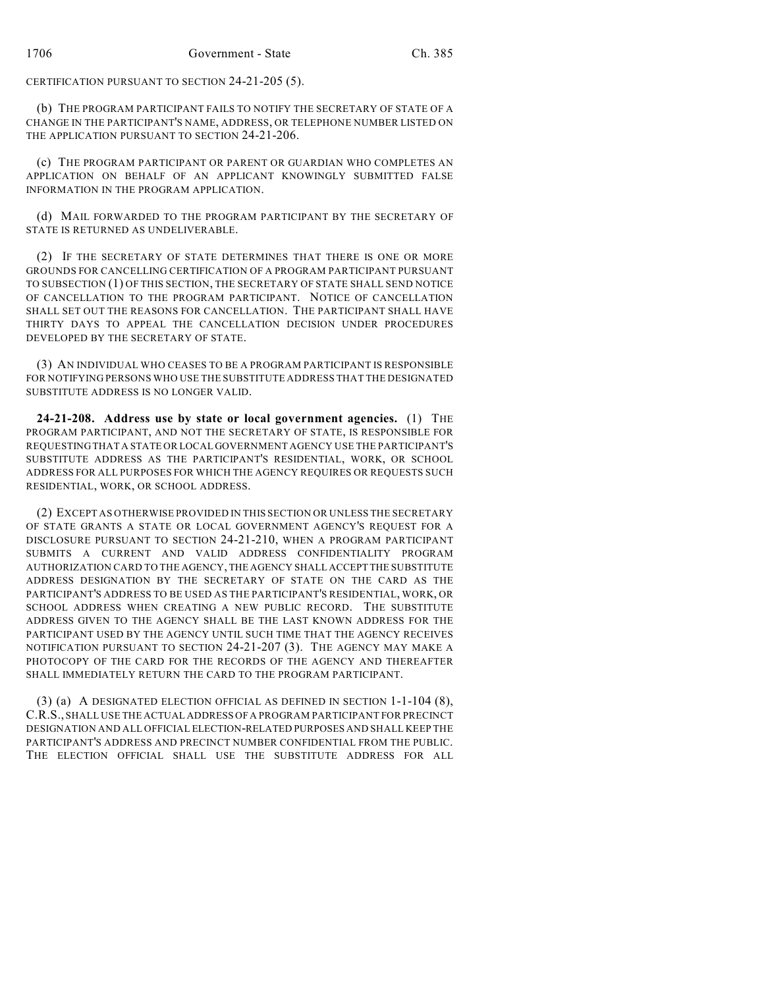CERTIFICATION PURSUANT TO SECTION 24-21-205 (5).

(b) THE PROGRAM PARTICIPANT FAILS TO NOTIFY THE SECRETARY OF STATE OF A CHANGE IN THE PARTICIPANT'S NAME, ADDRESS, OR TELEPHONE NUMBER LISTED ON THE APPLICATION PURSUANT TO SECTION 24-21-206.

(c) THE PROGRAM PARTICIPANT OR PARENT OR GUARDIAN WHO COMPLETES AN APPLICATION ON BEHALF OF AN APPLICANT KNOWINGLY SUBMITTED FALSE INFORMATION IN THE PROGRAM APPLICATION.

(d) MAIL FORWARDED TO THE PROGRAM PARTICIPANT BY THE SECRETARY OF STATE IS RETURNED AS UNDELIVERABLE.

(2) IF THE SECRETARY OF STATE DETERMINES THAT THERE IS ONE OR MORE GROUNDS FOR CANCELLING CERTIFICATION OF A PROGRAM PARTICIPANT PURSUANT TO SUBSECTION (1) OF THIS SECTION, THE SECRETARY OF STATE SHALL SEND NOTICE OF CANCELLATION TO THE PROGRAM PARTICIPANT. NOTICE OF CANCELLATION SHALL SET OUT THE REASONS FOR CANCELLATION. THE PARTICIPANT SHALL HAVE THIRTY DAYS TO APPEAL THE CANCELLATION DECISION UNDER PROCEDURES DEVELOPED BY THE SECRETARY OF STATE.

(3) AN INDIVIDUAL WHO CEASES TO BE A PROGRAM PARTICIPANT IS RESPONSIBLE FOR NOTIFYING PERSONS WHO USE THE SUBSTITUTE ADDRESS THAT THE DESIGNATED SUBSTITUTE ADDRESS IS NO LONGER VALID.

**24-21-208. Address use by state or local government agencies.** (1) THE PROGRAM PARTICIPANT, AND NOT THE SECRETARY OF STATE, IS RESPONSIBLE FOR REQUESTING THAT A STATE OR LOCAL GOVERNMENT AGENCY USE THE PARTICIPANT'S SUBSTITUTE ADDRESS AS THE PARTICIPANT'S RESIDENTIAL, WORK, OR SCHOOL ADDRESS FOR ALL PURPOSES FOR WHICH THE AGENCY REQUIRES OR REQUESTS SUCH RESIDENTIAL, WORK, OR SCHOOL ADDRESS.

(2) EXCEPT AS OTHERWISE PROVIDED IN THIS SECTION OR UNLESS THE SECRETARY OF STATE GRANTS A STATE OR LOCAL GOVERNMENT AGENCY'S REQUEST FOR A DISCLOSURE PURSUANT TO SECTION 24-21-210, WHEN A PROGRAM PARTICIPANT SUBMITS A CURRENT AND VALID ADDRESS CONFIDENTIALITY PROGRAM AUTHORIZATION CARD TO THE AGENCY, THE AGENCY SHALL ACCEPT THE SUBSTITUTE ADDRESS DESIGNATION BY THE SECRETARY OF STATE ON THE CARD AS THE PARTICIPANT'S ADDRESS TO BE USED AS THE PARTICIPANT'S RESIDENTIAL, WORK, OR SCHOOL ADDRESS WHEN CREATING A NEW PUBLIC RECORD. THE SUBSTITUTE ADDRESS GIVEN TO THE AGENCY SHALL BE THE LAST KNOWN ADDRESS FOR THE PARTICIPANT USED BY THE AGENCY UNTIL SUCH TIME THAT THE AGENCY RECEIVES NOTIFICATION PURSUANT TO SECTION 24-21-207 (3). THE AGENCY MAY MAKE A PHOTOCOPY OF THE CARD FOR THE RECORDS OF THE AGENCY AND THEREAFTER SHALL IMMEDIATELY RETURN THE CARD TO THE PROGRAM PARTICIPANT.

(3) (a) A DESIGNATED ELECTION OFFICIAL AS DEFINED IN SECTION 1-1-104 (8), C.R.S., SHALL USE THE ACTUAL ADDRESS OF A PROGRAM PARTICIPANT FOR PRECINCT DESIGNATION AND ALL OFFICIAL ELECTION-RELATED PURPOSES AND SHALL KEEP THE PARTICIPANT'S ADDRESS AND PRECINCT NUMBER CONFIDENTIAL FROM THE PUBLIC. THE ELECTION OFFICIAL SHALL USE THE SUBSTITUTE ADDRESS FOR ALL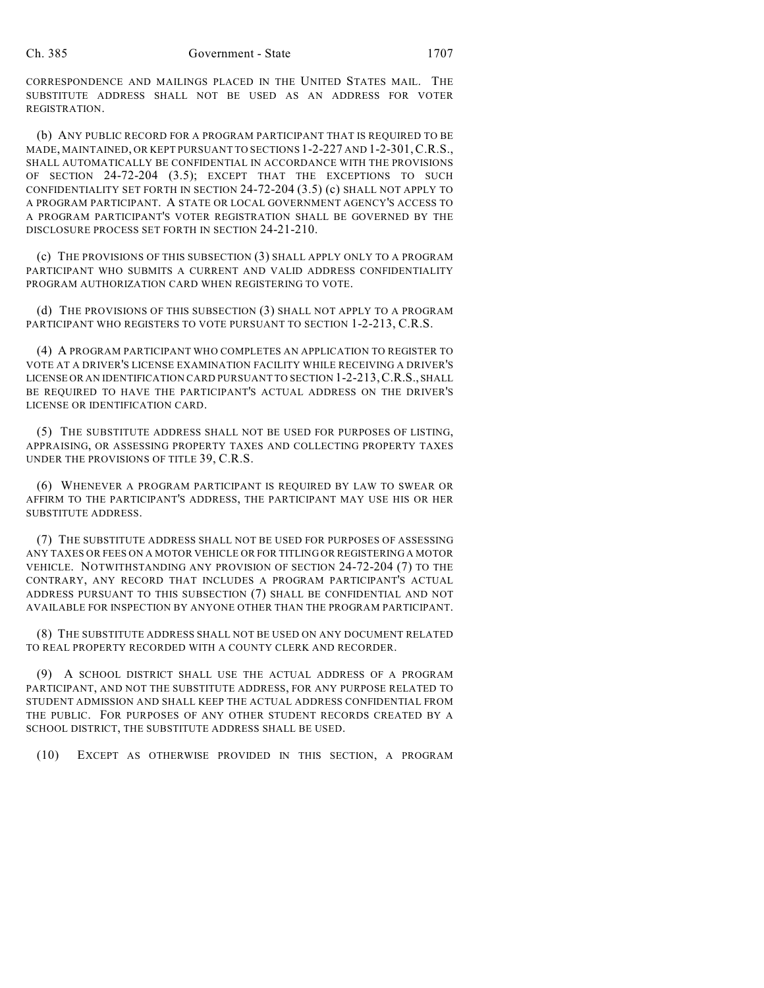CORRESPONDENCE AND MAILINGS PLACED IN THE UNITED STATES MAIL. THE SUBSTITUTE ADDRESS SHALL NOT BE USED AS AN ADDRESS FOR VOTER REGISTRATION.

(b) ANY PUBLIC RECORD FOR A PROGRAM PARTICIPANT THAT IS REQUIRED TO BE MADE, MAINTAINED, OR KEPT PURSUANT TO SECTIONS 1-2-227 AND 1-2-301,C.R.S., SHALL AUTOMATICALLY BE CONFIDENTIAL IN ACCORDANCE WITH THE PROVISIONS OF SECTION 24-72-204 (3.5); EXCEPT THAT THE EXCEPTIONS TO SUCH CONFIDENTIALITY SET FORTH IN SECTION 24-72-204 (3.5) (c) SHALL NOT APPLY TO A PROGRAM PARTICIPANT. A STATE OR LOCAL GOVERNMENT AGENCY'S ACCESS TO A PROGRAM PARTICIPANT'S VOTER REGISTRATION SHALL BE GOVERNED BY THE DISCLOSURE PROCESS SET FORTH IN SECTION 24-21-210.

(c) THE PROVISIONS OF THIS SUBSECTION (3) SHALL APPLY ONLY TO A PROGRAM PARTICIPANT WHO SUBMITS A CURRENT AND VALID ADDRESS CONFIDENTIALITY PROGRAM AUTHORIZATION CARD WHEN REGISTERING TO VOTE.

(d) THE PROVISIONS OF THIS SUBSECTION (3) SHALL NOT APPLY TO A PROGRAM PARTICIPANT WHO REGISTERS TO VOTE PURSUANT TO SECTION 1-2-213, C.R.S.

(4) A PROGRAM PARTICIPANT WHO COMPLETES AN APPLICATION TO REGISTER TO VOTE AT A DRIVER'S LICENSE EXAMINATION FACILITY WHILE RECEIVING A DRIVER'S LICENSE OR AN IDENTIFICATION CARD PURSUANT TO SECTION 1-2-213,C.R.S., SHALL BE REQUIRED TO HAVE THE PARTICIPANT'S ACTUAL ADDRESS ON THE DRIVER'S LICENSE OR IDENTIFICATION CARD.

(5) THE SUBSTITUTE ADDRESS SHALL NOT BE USED FOR PURPOSES OF LISTING, APPRAISING, OR ASSESSING PROPERTY TAXES AND COLLECTING PROPERTY TAXES UNDER THE PROVISIONS OF TITLE 39, C.R.S.

(6) WHENEVER A PROGRAM PARTICIPANT IS REQUIRED BY LAW TO SWEAR OR AFFIRM TO THE PARTICIPANT'S ADDRESS, THE PARTICIPANT MAY USE HIS OR HER SUBSTITUTE ADDRESS.

(7) THE SUBSTITUTE ADDRESS SHALL NOT BE USED FOR PURPOSES OF ASSESSING ANY TAXES OR FEES ON A MOTOR VEHICLE OR FOR TITLING OR REGISTERING A MOTOR VEHICLE. NOTWITHSTANDING ANY PROVISION OF SECTION 24-72-204 (7) TO THE CONTRARY, ANY RECORD THAT INCLUDES A PROGRAM PARTICIPANT'S ACTUAL ADDRESS PURSUANT TO THIS SUBSECTION (7) SHALL BE CONFIDENTIAL AND NOT AVAILABLE FOR INSPECTION BY ANYONE OTHER THAN THE PROGRAM PARTICIPANT.

(8) THE SUBSTITUTE ADDRESS SHALL NOT BE USED ON ANY DOCUMENT RELATED TO REAL PROPERTY RECORDED WITH A COUNTY CLERK AND RECORDER.

(9) A SCHOOL DISTRICT SHALL USE THE ACTUAL ADDRESS OF A PROGRAM PARTICIPANT, AND NOT THE SUBSTITUTE ADDRESS, FOR ANY PURPOSE RELATED TO STUDENT ADMISSION AND SHALL KEEP THE ACTUAL ADDRESS CONFIDENTIAL FROM THE PUBLIC. FOR PURPOSES OF ANY OTHER STUDENT RECORDS CREATED BY A SCHOOL DISTRICT, THE SUBSTITUTE ADDRESS SHALL BE USED.

(10) EXCEPT AS OTHERWISE PROVIDED IN THIS SECTION, A PROGRAM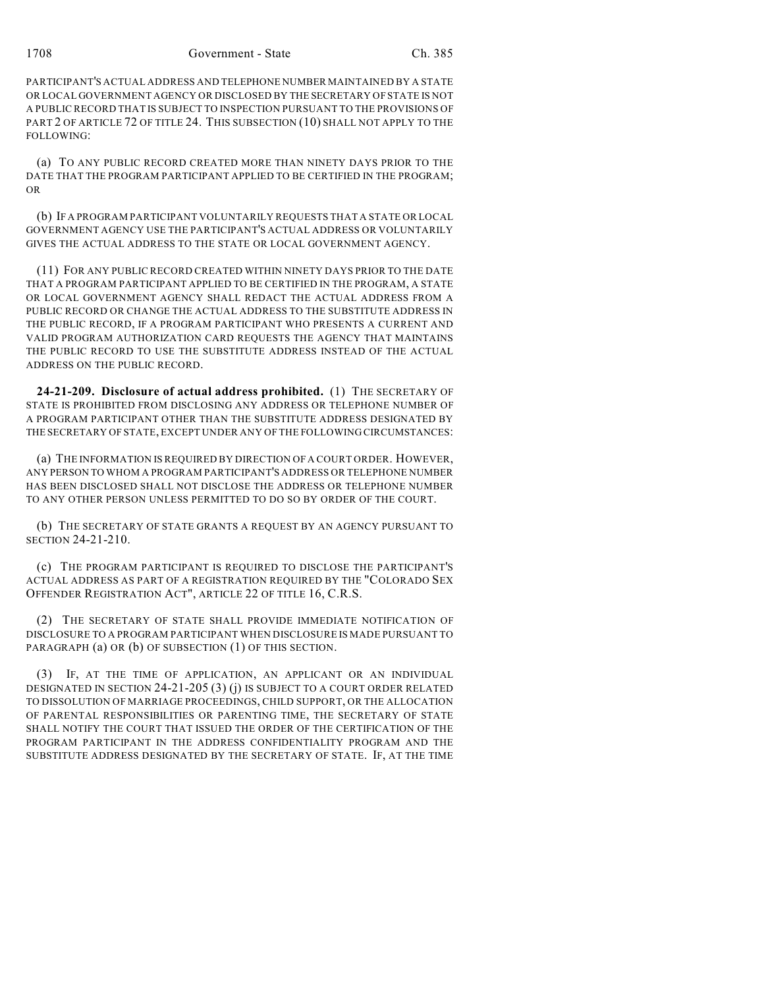PARTICIPANT'S ACTUAL ADDRESS AND TELEPHONE NUMBER MAINTAINED BY A STATE OR LOCAL GOVERNMENT AGENCY OR DISCLOSED BY THE SECRETARY OF STATE IS NOT A PUBLIC RECORD THAT IS SUBJECT TO INSPECTION PURSUANT TO THE PROVISIONS OF PART 2 OF ARTICLE 72 OF TITLE 24. THIS SUBSECTION (10) SHALL NOT APPLY TO THE FOLLOWING:

(a) TO ANY PUBLIC RECORD CREATED MORE THAN NINETY DAYS PRIOR TO THE DATE THAT THE PROGRAM PARTICIPANT APPLIED TO BE CERTIFIED IN THE PROGRAM; OR

(b) IF A PROGRAM PARTICIPANT VOLUNTARILY REQUESTS THAT A STATE OR LOCAL GOVERNMENT AGENCY USE THE PARTICIPANT'S ACTUAL ADDRESS OR VOLUNTARILY GIVES THE ACTUAL ADDRESS TO THE STATE OR LOCAL GOVERNMENT AGENCY.

(11) FOR ANY PUBLIC RECORD CREATED WITHIN NINETY DAYS PRIOR TO THE DATE THAT A PROGRAM PARTICIPANT APPLIED TO BE CERTIFIED IN THE PROGRAM, A STATE OR LOCAL GOVERNMENT AGENCY SHALL REDACT THE ACTUAL ADDRESS FROM A PUBLIC RECORD OR CHANGE THE ACTUAL ADDRESS TO THE SUBSTITUTE ADDRESS IN THE PUBLIC RECORD, IF A PROGRAM PARTICIPANT WHO PRESENTS A CURRENT AND VALID PROGRAM AUTHORIZATION CARD REQUESTS THE AGENCY THAT MAINTAINS THE PUBLIC RECORD TO USE THE SUBSTITUTE ADDRESS INSTEAD OF THE ACTUAL ADDRESS ON THE PUBLIC RECORD.

**24-21-209. Disclosure of actual address prohibited.** (1) THE SECRETARY OF STATE IS PROHIBITED FROM DISCLOSING ANY ADDRESS OR TELEPHONE NUMBER OF A PROGRAM PARTICIPANT OTHER THAN THE SUBSTITUTE ADDRESS DESIGNATED BY THE SECRETARY OF STATE, EXCEPT UNDER ANY OF THE FOLLOWING CIRCUMSTANCES:

(a) THE INFORMATION IS REQUIRED BY DIRECTION OF A COURT ORDER. HOWEVER, ANY PERSON TO WHOM A PROGRAM PARTICIPANT'S ADDRESS OR TELEPHONE NUMBER HAS BEEN DISCLOSED SHALL NOT DISCLOSE THE ADDRESS OR TELEPHONE NUMBER TO ANY OTHER PERSON UNLESS PERMITTED TO DO SO BY ORDER OF THE COURT.

(b) THE SECRETARY OF STATE GRANTS A REQUEST BY AN AGENCY PURSUANT TO SECTION 24-21-210.

(c) THE PROGRAM PARTICIPANT IS REQUIRED TO DISCLOSE THE PARTICIPANT'S ACTUAL ADDRESS AS PART OF A REGISTRATION REQUIRED BY THE "COLORADO SEX OFFENDER REGISTRATION ACT", ARTICLE 22 OF TITLE 16, C.R.S.

(2) THE SECRETARY OF STATE SHALL PROVIDE IMMEDIATE NOTIFICATION OF DISCLOSURE TO A PROGRAM PARTICIPANT WHEN DISCLOSURE IS MADE PURSUANT TO PARAGRAPH (a) OR (b) OF SUBSECTION (1) OF THIS SECTION.

(3) IF, AT THE TIME OF APPLICATION, AN APPLICANT OR AN INDIVIDUAL DESIGNATED IN SECTION 24-21-205 (3) (j) IS SUBJECT TO A COURT ORDER RELATED TO DISSOLUTION OF MARRIAGE PROCEEDINGS, CHILD SUPPORT, OR THE ALLOCATION OF PARENTAL RESPONSIBILITIES OR PARENTING TIME, THE SECRETARY OF STATE SHALL NOTIFY THE COURT THAT ISSUED THE ORDER OF THE CERTIFICATION OF THE PROGRAM PARTICIPANT IN THE ADDRESS CONFIDENTIALITY PROGRAM AND THE SUBSTITUTE ADDRESS DESIGNATED BY THE SECRETARY OF STATE. IF, AT THE TIME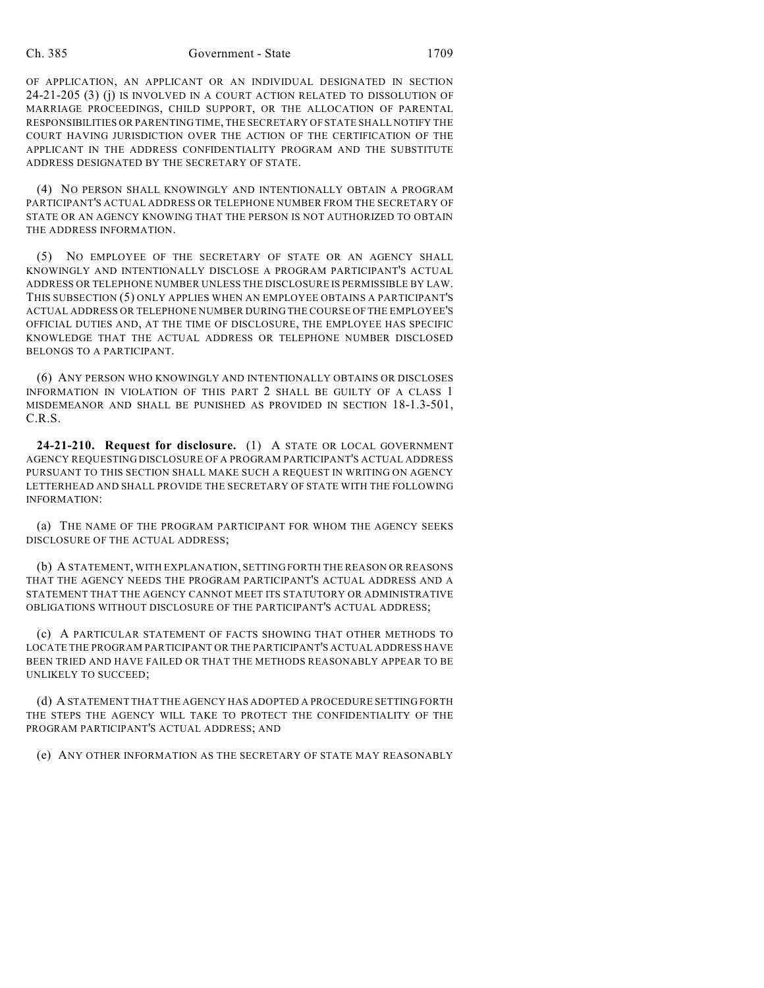OF APPLICATION, AN APPLICANT OR AN INDIVIDUAL DESIGNATED IN SECTION 24-21-205 (3) (j) IS INVOLVED IN A COURT ACTION RELATED TO DISSOLUTION OF MARRIAGE PROCEEDINGS, CHILD SUPPORT, OR THE ALLOCATION OF PARENTAL RESPONSIBILITIES OR PARENTING TIME, THE SECRETARY OF STATE SHALL NOTIFY THE COURT HAVING JURISDICTION OVER THE ACTION OF THE CERTIFICATION OF THE APPLICANT IN THE ADDRESS CONFIDENTIALITY PROGRAM AND THE SUBSTITUTE ADDRESS DESIGNATED BY THE SECRETARY OF STATE.

(4) NO PERSON SHALL KNOWINGLY AND INTENTIONALLY OBTAIN A PROGRAM PARTICIPANT'S ACTUAL ADDRESS OR TELEPHONE NUMBER FROM THE SECRETARY OF STATE OR AN AGENCY KNOWING THAT THE PERSON IS NOT AUTHORIZED TO OBTAIN THE ADDRESS INFORMATION.

(5) NO EMPLOYEE OF THE SECRETARY OF STATE OR AN AGENCY SHALL KNOWINGLY AND INTENTIONALLY DISCLOSE A PROGRAM PARTICIPANT'S ACTUAL ADDRESS OR TELEPHONE NUMBER UNLESS THE DISCLOSURE IS PERMISSIBLE BY LAW. THIS SUBSECTION (5) ONLY APPLIES WHEN AN EMPLOYEE OBTAINS A PARTICIPANT'S ACTUAL ADDRESS OR TELEPHONE NUMBER DURING THE COURSE OF THE EMPLOYEE'S OFFICIAL DUTIES AND, AT THE TIME OF DISCLOSURE, THE EMPLOYEE HAS SPECIFIC KNOWLEDGE THAT THE ACTUAL ADDRESS OR TELEPHONE NUMBER DISCLOSED BELONGS TO A PARTICIPANT.

(6) ANY PERSON WHO KNOWINGLY AND INTENTIONALLY OBTAINS OR DISCLOSES INFORMATION IN VIOLATION OF THIS PART 2 SHALL BE GUILTY OF A CLASS 1 MISDEMEANOR AND SHALL BE PUNISHED AS PROVIDED IN SECTION 18-1.3-501, C.R.S.

**24-21-210. Request for disclosure.** (1) A STATE OR LOCAL GOVERNMENT AGENCY REQUESTING DISCLOSURE OF A PROGRAM PARTICIPANT'S ACTUAL ADDRESS PURSUANT TO THIS SECTION SHALL MAKE SUCH A REQUEST IN WRITING ON AGENCY LETTERHEAD AND SHALL PROVIDE THE SECRETARY OF STATE WITH THE FOLLOWING INFORMATION:

(a) THE NAME OF THE PROGRAM PARTICIPANT FOR WHOM THE AGENCY SEEKS DISCLOSURE OF THE ACTUAL ADDRESS;

(b) A STATEMENT, WITH EXPLANATION, SETTING FORTH THE REASON OR REASONS THAT THE AGENCY NEEDS THE PROGRAM PARTICIPANT'S ACTUAL ADDRESS AND A STATEMENT THAT THE AGENCY CANNOT MEET ITS STATUTORY OR ADMINISTRATIVE OBLIGATIONS WITHOUT DISCLOSURE OF THE PARTICIPANT'S ACTUAL ADDRESS;

(c) A PARTICULAR STATEMENT OF FACTS SHOWING THAT OTHER METHODS TO LOCATE THE PROGRAM PARTICIPANT OR THE PARTICIPANT'S ACTUAL ADDRESS HAVE BEEN TRIED AND HAVE FAILED OR THAT THE METHODS REASONABLY APPEAR TO BE UNLIKELY TO SUCCEED;

(d) A STATEMENT THAT THE AGENCY HAS ADOPTED A PROCEDURE SETTING FORTH THE STEPS THE AGENCY WILL TAKE TO PROTECT THE CONFIDENTIALITY OF THE PROGRAM PARTICIPANT'S ACTUAL ADDRESS; AND

(e) ANY OTHER INFORMATION AS THE SECRETARY OF STATE MAY REASONABLY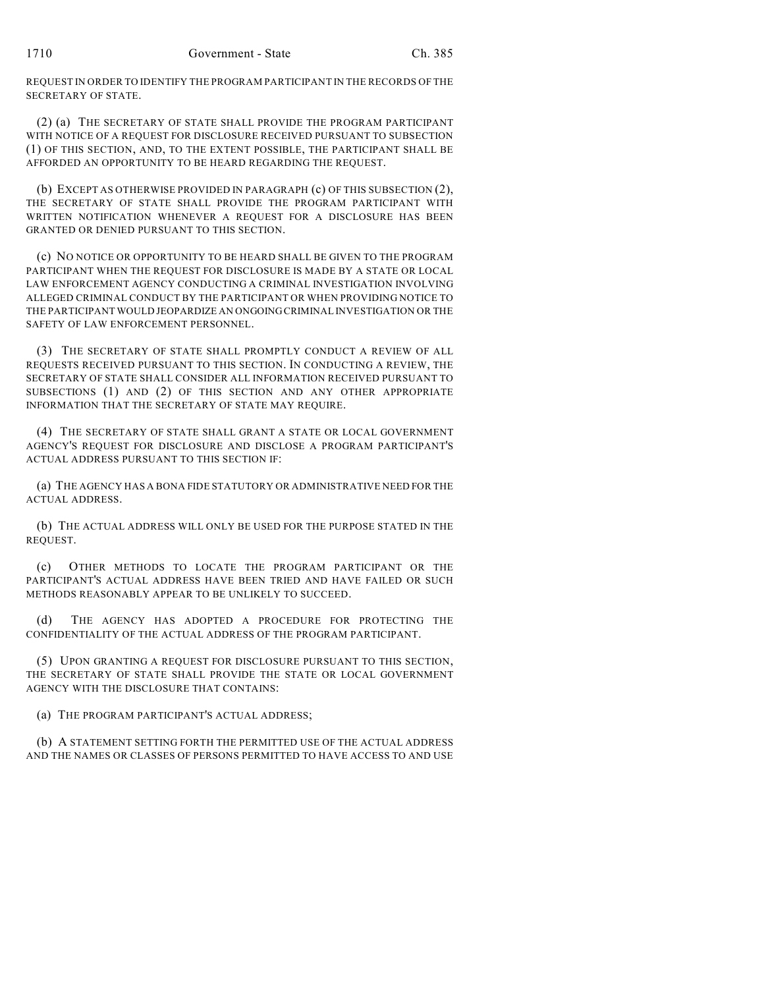REQUEST IN ORDER TO IDENTIFY THE PROGRAM PARTICIPANT IN THE RECORDS OF THE SECRETARY OF STATE.

(2) (a) THE SECRETARY OF STATE SHALL PROVIDE THE PROGRAM PARTICIPANT WITH NOTICE OF A REQUEST FOR DISCLOSURE RECEIVED PURSUANT TO SUBSECTION (1) OF THIS SECTION, AND, TO THE EXTENT POSSIBLE, THE PARTICIPANT SHALL BE AFFORDED AN OPPORTUNITY TO BE HEARD REGARDING THE REQUEST.

(b) EXCEPT AS OTHERWISE PROVIDED IN PARAGRAPH (c) OF THIS SUBSECTION (2), THE SECRETARY OF STATE SHALL PROVIDE THE PROGRAM PARTICIPANT WITH WRITTEN NOTIFICATION WHENEVER A REQUEST FOR A DISCLOSURE HAS BEEN GRANTED OR DENIED PURSUANT TO THIS SECTION.

(c) NO NOTICE OR OPPORTUNITY TO BE HEARD SHALL BE GIVEN TO THE PROGRAM PARTICIPANT WHEN THE REQUEST FOR DISCLOSURE IS MADE BY A STATE OR LOCAL LAW ENFORCEMENT AGENCY CONDUCTING A CRIMINAL INVESTIGATION INVOLVING ALLEGED CRIMINAL CONDUCT BY THE PARTICIPANT OR WHEN PROVIDING NOTICE TO THE PARTICIPANT WOULD JEOPARDIZE AN ONGOING CRIMINAL INVESTIGATION OR THE SAFETY OF LAW ENFORCEMENT PERSONNEL.

(3) THE SECRETARY OF STATE SHALL PROMPTLY CONDUCT A REVIEW OF ALL REQUESTS RECEIVED PURSUANT TO THIS SECTION. IN CONDUCTING A REVIEW, THE SECRETARY OF STATE SHALL CONSIDER ALL INFORMATION RECEIVED PURSUANT TO SUBSECTIONS (1) AND (2) OF THIS SECTION AND ANY OTHER APPROPRIATE INFORMATION THAT THE SECRETARY OF STATE MAY REQUIRE.

(4) THE SECRETARY OF STATE SHALL GRANT A STATE OR LOCAL GOVERNMENT AGENCY'S REQUEST FOR DISCLOSURE AND DISCLOSE A PROGRAM PARTICIPANT'S ACTUAL ADDRESS PURSUANT TO THIS SECTION IF:

(a) THE AGENCY HAS A BONA FIDE STATUTORY OR ADMINISTRATIVE NEED FOR THE ACTUAL ADDRESS.

(b) THE ACTUAL ADDRESS WILL ONLY BE USED FOR THE PURPOSE STATED IN THE REQUEST.

(c) OTHER METHODS TO LOCATE THE PROGRAM PARTICIPANT OR THE PARTICIPANT'S ACTUAL ADDRESS HAVE BEEN TRIED AND HAVE FAILED OR SUCH METHODS REASONABLY APPEAR TO BE UNLIKELY TO SUCCEED.

(d) THE AGENCY HAS ADOPTED A PROCEDURE FOR PROTECTING THE CONFIDENTIALITY OF THE ACTUAL ADDRESS OF THE PROGRAM PARTICIPANT.

(5) UPON GRANTING A REQUEST FOR DISCLOSURE PURSUANT TO THIS SECTION, THE SECRETARY OF STATE SHALL PROVIDE THE STATE OR LOCAL GOVERNMENT AGENCY WITH THE DISCLOSURE THAT CONTAINS:

(a) THE PROGRAM PARTICIPANT'S ACTUAL ADDRESS;

(b) A STATEMENT SETTING FORTH THE PERMITTED USE OF THE ACTUAL ADDRESS AND THE NAMES OR CLASSES OF PERSONS PERMITTED TO HAVE ACCESS TO AND USE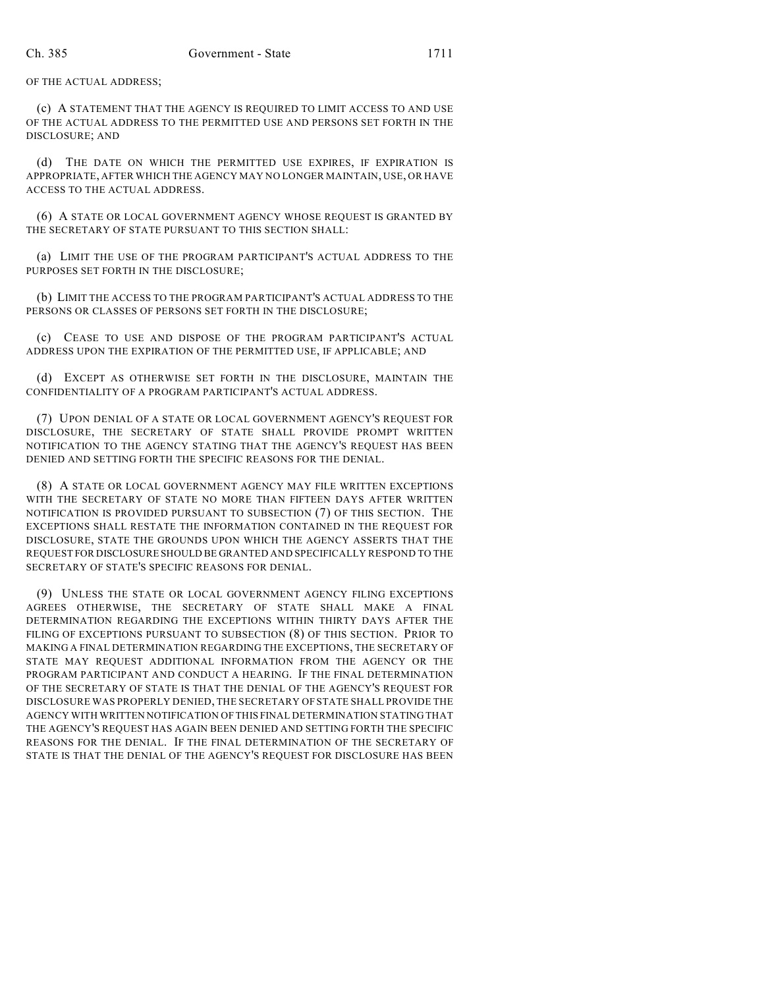OF THE ACTUAL ADDRESS;

(c) A STATEMENT THAT THE AGENCY IS REQUIRED TO LIMIT ACCESS TO AND USE OF THE ACTUAL ADDRESS TO THE PERMITTED USE AND PERSONS SET FORTH IN THE DISCLOSURE; AND

(d) THE DATE ON WHICH THE PERMITTED USE EXPIRES, IF EXPIRATION IS APPROPRIATE, AFTER WHICH THE AGENCY MAY NO LONGER MAINTAIN, USE, OR HAVE ACCESS TO THE ACTUAL ADDRESS.

(6) A STATE OR LOCAL GOVERNMENT AGENCY WHOSE REQUEST IS GRANTED BY THE SECRETARY OF STATE PURSUANT TO THIS SECTION SHALL:

(a) LIMIT THE USE OF THE PROGRAM PARTICIPANT'S ACTUAL ADDRESS TO THE PURPOSES SET FORTH IN THE DISCLOSURE;

(b) LIMIT THE ACCESS TO THE PROGRAM PARTICIPANT'S ACTUAL ADDRESS TO THE PERSONS OR CLASSES OF PERSONS SET FORTH IN THE DISCLOSURE;

(c) CEASE TO USE AND DISPOSE OF THE PROGRAM PARTICIPANT'S ACTUAL ADDRESS UPON THE EXPIRATION OF THE PERMITTED USE, IF APPLICABLE; AND

(d) EXCEPT AS OTHERWISE SET FORTH IN THE DISCLOSURE, MAINTAIN THE CONFIDENTIALITY OF A PROGRAM PARTICIPANT'S ACTUAL ADDRESS.

(7) UPON DENIAL OF A STATE OR LOCAL GOVERNMENT AGENCY'S REQUEST FOR DISCLOSURE, THE SECRETARY OF STATE SHALL PROVIDE PROMPT WRITTEN NOTIFICATION TO THE AGENCY STATING THAT THE AGENCY'S REQUEST HAS BEEN DENIED AND SETTING FORTH THE SPECIFIC REASONS FOR THE DENIAL.

(8) A STATE OR LOCAL GOVERNMENT AGENCY MAY FILE WRITTEN EXCEPTIONS WITH THE SECRETARY OF STATE NO MORE THAN FIFTEEN DAYS AFTER WRITTEN NOTIFICATION IS PROVIDED PURSUANT TO SUBSECTION (7) OF THIS SECTION. THE EXCEPTIONS SHALL RESTATE THE INFORMATION CONTAINED IN THE REQUEST FOR DISCLOSURE, STATE THE GROUNDS UPON WHICH THE AGENCY ASSERTS THAT THE REQUEST FOR DISCLOSURE SHOULD BE GRANTED AND SPECIFICALLY RESPOND TO THE SECRETARY OF STATE'S SPECIFIC REASONS FOR DENIAL.

(9) UNLESS THE STATE OR LOCAL GOVERNMENT AGENCY FILING EXCEPTIONS AGREES OTHERWISE, THE SECRETARY OF STATE SHALL MAKE A FINAL DETERMINATION REGARDING THE EXCEPTIONS WITHIN THIRTY DAYS AFTER THE FILING OF EXCEPTIONS PURSUANT TO SUBSECTION (8) OF THIS SECTION. PRIOR TO MAKING A FINAL DETERMINATION REGARDING THE EXCEPTIONS, THE SECRETARY OF STATE MAY REQUEST ADDITIONAL INFORMATION FROM THE AGENCY OR THE PROGRAM PARTICIPANT AND CONDUCT A HEARING. IF THE FINAL DETERMINATION OF THE SECRETARY OF STATE IS THAT THE DENIAL OF THE AGENCY'S REQUEST FOR DISCLOSURE WAS PROPERLY DENIED, THE SECRETARY OF STATE SHALL PROVIDE THE AGENCY WITH WRITTEN NOTIFICATION OF THIS FINAL DETERMINATION STATING THAT THE AGENCY'S REQUEST HAS AGAIN BEEN DENIED AND SETTING FORTH THE SPECIFIC REASONS FOR THE DENIAL. IF THE FINAL DETERMINATION OF THE SECRETARY OF STATE IS THAT THE DENIAL OF THE AGENCY'S REQUEST FOR DISCLOSURE HAS BEEN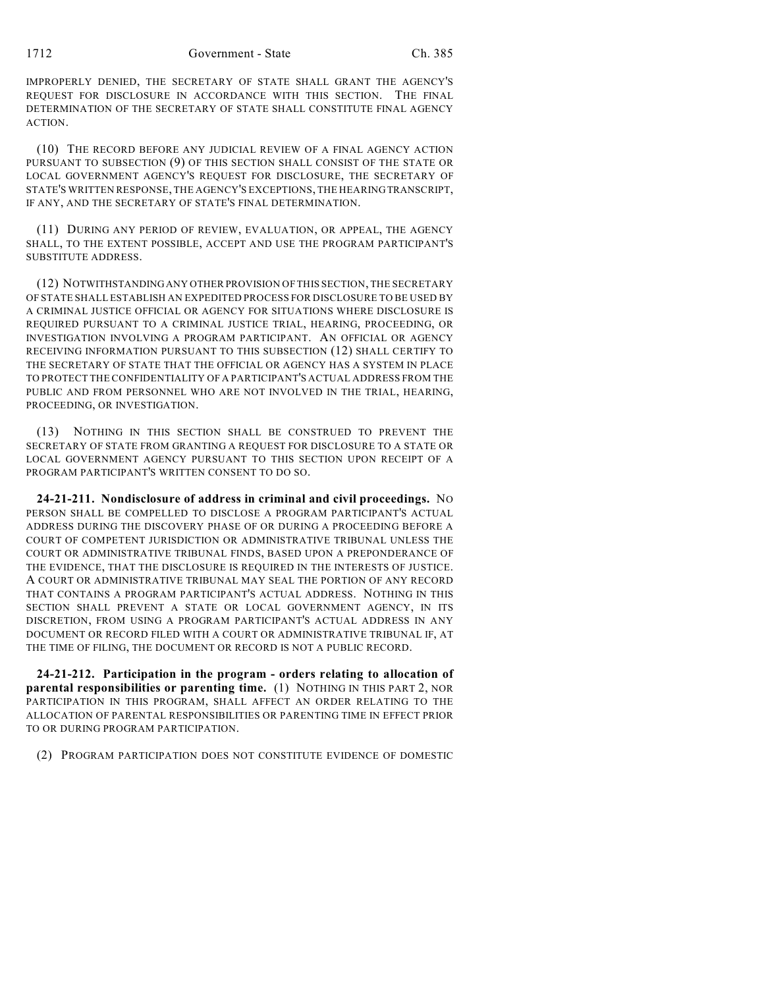IMPROPERLY DENIED, THE SECRETARY OF STATE SHALL GRANT THE AGENCY'S REQUEST FOR DISCLOSURE IN ACCORDANCE WITH THIS SECTION. THE FINAL DETERMINATION OF THE SECRETARY OF STATE SHALL CONSTITUTE FINAL AGENCY ACTION.

(10) THE RECORD BEFORE ANY JUDICIAL REVIEW OF A FINAL AGENCY ACTION PURSUANT TO SUBSECTION (9) OF THIS SECTION SHALL CONSIST OF THE STATE OR LOCAL GOVERNMENT AGENCY'S REQUEST FOR DISCLOSURE, THE SECRETARY OF STATE'S WRITTEN RESPONSE, THE AGENCY'S EXCEPTIONS, THE HEARING TRANSCRIPT, IF ANY, AND THE SECRETARY OF STATE'S FINAL DETERMINATION.

(11) DURING ANY PERIOD OF REVIEW, EVALUATION, OR APPEAL, THE AGENCY SHALL, TO THE EXTENT POSSIBLE, ACCEPT AND USE THE PROGRAM PARTICIPANT'S SUBSTITUTE ADDRESS.

(12) NOTWITHSTANDING ANY OTHER PROVISION OF THIS SECTION, THE SECRETARY OF STATE SHALL ESTABLISH AN EXPEDITED PROCESS FOR DISCLOSURE TO BE USED BY A CRIMINAL JUSTICE OFFICIAL OR AGENCY FOR SITUATIONS WHERE DISCLOSURE IS REQUIRED PURSUANT TO A CRIMINAL JUSTICE TRIAL, HEARING, PROCEEDING, OR INVESTIGATION INVOLVING A PROGRAM PARTICIPANT. AN OFFICIAL OR AGENCY RECEIVING INFORMATION PURSUANT TO THIS SUBSECTION (12) SHALL CERTIFY TO THE SECRETARY OF STATE THAT THE OFFICIAL OR AGENCY HAS A SYSTEM IN PLACE TO PROTECT THE CONFIDENTIALITY OF A PARTICIPANT'S ACTUAL ADDRESS FROM THE PUBLIC AND FROM PERSONNEL WHO ARE NOT INVOLVED IN THE TRIAL, HEARING, PROCEEDING, OR INVESTIGATION.

(13) NOTHING IN THIS SECTION SHALL BE CONSTRUED TO PREVENT THE SECRETARY OF STATE FROM GRANTING A REQUEST FOR DISCLOSURE TO A STATE OR LOCAL GOVERNMENT AGENCY PURSUANT TO THIS SECTION UPON RECEIPT OF A PROGRAM PARTICIPANT'S WRITTEN CONSENT TO DO SO.

**24-21-211. Nondisclosure of address in criminal and civil proceedings.** NO PERSON SHALL BE COMPELLED TO DISCLOSE A PROGRAM PARTICIPANT'S ACTUAL ADDRESS DURING THE DISCOVERY PHASE OF OR DURING A PROCEEDING BEFORE A COURT OF COMPETENT JURISDICTION OR ADMINISTRATIVE TRIBUNAL UNLESS THE COURT OR ADMINISTRATIVE TRIBUNAL FINDS, BASED UPON A PREPONDERANCE OF THE EVIDENCE, THAT THE DISCLOSURE IS REQUIRED IN THE INTERESTS OF JUSTICE. A COURT OR ADMINISTRATIVE TRIBUNAL MAY SEAL THE PORTION OF ANY RECORD THAT CONTAINS A PROGRAM PARTICIPANT'S ACTUAL ADDRESS. NOTHING IN THIS SECTION SHALL PREVENT A STATE OR LOCAL GOVERNMENT AGENCY, IN ITS DISCRETION, FROM USING A PROGRAM PARTICIPANT'S ACTUAL ADDRESS IN ANY DOCUMENT OR RECORD FILED WITH A COURT OR ADMINISTRATIVE TRIBUNAL IF, AT THE TIME OF FILING, THE DOCUMENT OR RECORD IS NOT A PUBLIC RECORD.

**24-21-212. Participation in the program - orders relating to allocation of parental responsibilities or parenting time.** (1) NOTHING IN THIS PART 2, NOR PARTICIPATION IN THIS PROGRAM, SHALL AFFECT AN ORDER RELATING TO THE ALLOCATION OF PARENTAL RESPONSIBILITIES OR PARENTING TIME IN EFFECT PRIOR TO OR DURING PROGRAM PARTICIPATION.

(2) PROGRAM PARTICIPATION DOES NOT CONSTITUTE EVIDENCE OF DOMESTIC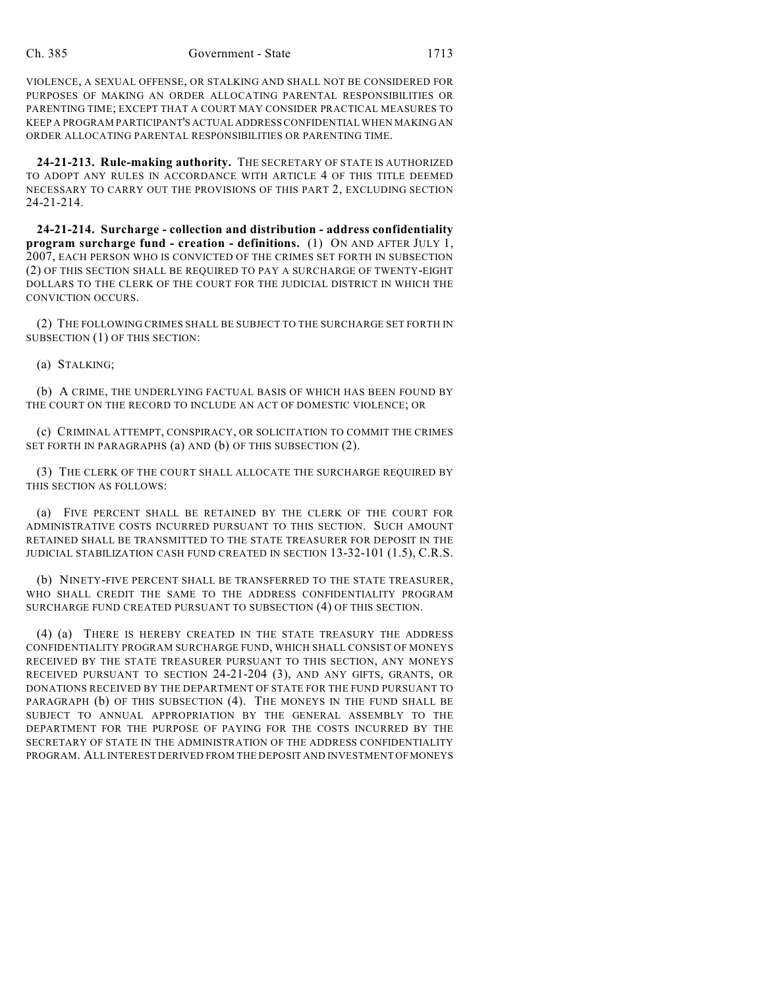VIOLENCE, A SEXUAL OFFENSE, OR STALKING AND SHALL NOT BE CONSIDERED FOR PURPOSES OF MAKING AN ORDER ALLOCATING PARENTAL RESPONSIBILITIES OR PARENTING TIME; EXCEPT THAT A COURT MAY CONSIDER PRACTICAL MEASURES TO KEEP A PROGRAM PARTICIPANT'S ACTUAL ADDRESS CONFIDENTIAL WHEN MAKING AN ORDER ALLOCATING PARENTAL RESPONSIBILITIES OR PARENTING TIME.

**24-21-213. Rule-making authority.** THE SECRETARY OF STATE IS AUTHORIZED TO ADOPT ANY RULES IN ACCORDANCE WITH ARTICLE 4 OF THIS TITLE DEEMED NECESSARY TO CARRY OUT THE PROVISIONS OF THIS PART 2, EXCLUDING SECTION 24-21-214.

**24-21-214. Surcharge - collection and distribution - address confidentiality program surcharge fund - creation - definitions.** (1) ON AND AFTER JULY 1, 2007, EACH PERSON WHO IS CONVICTED OF THE CRIMES SET FORTH IN SUBSECTION (2) OF THIS SECTION SHALL BE REQUIRED TO PAY A SURCHARGE OF TWENTY-EIGHT DOLLARS TO THE CLERK OF THE COURT FOR THE JUDICIAL DISTRICT IN WHICH THE CONVICTION OCCURS.

(2) THE FOLLOWING CRIMES SHALL BE SUBJECT TO THE SURCHARGE SET FORTH IN SUBSECTION (1) OF THIS SECTION:

(a) STALKING;

(b) A CRIME, THE UNDERLYING FACTUAL BASIS OF WHICH HAS BEEN FOUND BY THE COURT ON THE RECORD TO INCLUDE AN ACT OF DOMESTIC VIOLENCE; OR

(c) CRIMINAL ATTEMPT, CONSPIRACY, OR SOLICITATION TO COMMIT THE CRIMES SET FORTH IN PARAGRAPHS (a) AND (b) OF THIS SUBSECTION (2).

(3) THE CLERK OF THE COURT SHALL ALLOCATE THE SURCHARGE REQUIRED BY THIS SECTION AS FOLLOWS:

(a) FIVE PERCENT SHALL BE RETAINED BY THE CLERK OF THE COURT FOR ADMINISTRATIVE COSTS INCURRED PURSUANT TO THIS SECTION. SUCH AMOUNT RETAINED SHALL BE TRANSMITTED TO THE STATE TREASURER FOR DEPOSIT IN THE JUDICIAL STABILIZATION CASH FUND CREATED IN SECTION 13-32-101 (1.5), C.R.S.

(b) NINETY-FIVE PERCENT SHALL BE TRANSFERRED TO THE STATE TREASURER, WHO SHALL CREDIT THE SAME TO THE ADDRESS CONFIDENTIALITY PROGRAM SURCHARGE FUND CREATED PURSUANT TO SUBSECTION (4) OF THIS SECTION.

(4) (a) THERE IS HEREBY CREATED IN THE STATE TREASURY THE ADDRESS CONFIDENTIALITY PROGRAM SURCHARGE FUND, WHICH SHALL CONSIST OF MONEYS RECEIVED BY THE STATE TREASURER PURSUANT TO THIS SECTION, ANY MONEYS RECEIVED PURSUANT TO SECTION 24-21-204 (3), AND ANY GIFTS, GRANTS, OR DONATIONS RECEIVED BY THE DEPARTMENT OF STATE FOR THE FUND PURSUANT TO PARAGRAPH (b) OF THIS SUBSECTION (4). THE MONEYS IN THE FUND SHALL BE SUBJECT TO ANNUAL APPROPRIATION BY THE GENERAL ASSEMBLY TO THE DEPARTMENT FOR THE PURPOSE OF PAYING FOR THE COSTS INCURRED BY THE SECRETARY OF STATE IN THE ADMINISTRATION OF THE ADDRESS CONFIDENTIALITY PROGRAM. ALL INTEREST DERIVED FROM THE DEPOSIT AND INVESTMENT OF MONEYS